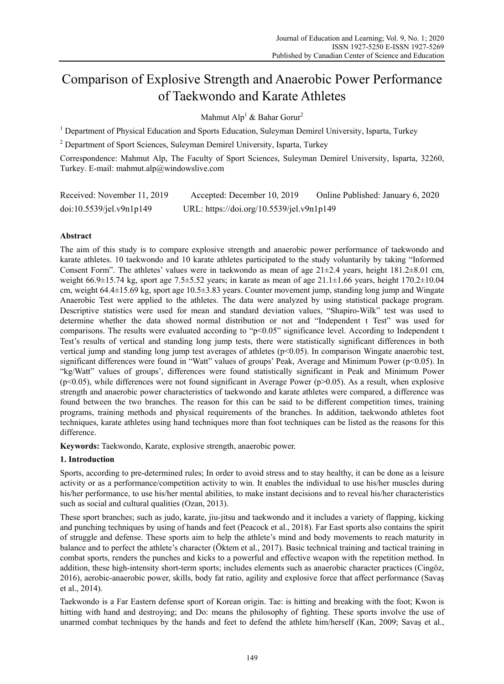# Comparison of Explosive Strength and Anaerobic Power Performance of Taekwondo and Karate Athletes

Mahmut Alp<sup>1</sup> & Bahar Gorur<sup>2</sup>

<sup>1</sup> Department of Physical Education and Sports Education, Suleyman Demirel University, Isparta, Turkey

<sup>2</sup> Department of Sport Sciences, Suleyman Demirel University, Isparta, Turkey

Correspondence: Mahmut Alp, The Faculty of Sport Sciences, Suleyman Demirel University, Isparta, 32260, Turkey. E-mail: mahmut.alp@windowslive.com

| Received: November 11, 2019 | Accepted: December 10, 2019               | Online Published: January 6, 2020 |
|-----------------------------|-------------------------------------------|-----------------------------------|
| doi:10.5539/jel.v9n1p149    | URL: https://doi.org/10.5539/jel.v9n1p149 |                                   |

## **Abstract**

The aim of this study is to compare explosive strength and anaerobic power performance of taekwondo and karate athletes. 10 taekwondo and 10 karate athletes participated to the study voluntarily by taking "Informed Consent Form". The athletes' values were in taekwondo as mean of age 21±2.4 years, height 181.2±8.01 cm, weight 66.9 $\pm$ 15.74 kg, sport age 7.5 $\pm$ 5.52 years; in karate as mean of age 21.1 $\pm$ 1.66 years, height 170.2 $\pm$ 10.04 cm, weight 64.4±15.69 kg, sport age 10.5±3.83 years. Counter movement jump, standing long jump and Wingate Anaerobic Test were applied to the athletes. The data were analyzed by using statistical package program. Descriptive statistics were used for mean and standard deviation values, "Shapiro-Wilk" test was used to determine whether the data showed normal distribution or not and "Independent t Test" was used for comparisons. The results were evaluated according to "p<0.05" significance level. According to Independent t Test's results of vertical and standing long jump tests, there were statistically significant differences in both vertical jump and standing long jump test averages of athletes (p<0.05). In comparison Wingate anaerobic test, significant differences were found in "Watt" values of groups' Peak, Average and Minimum Power (p<0.05). In "kg/Watt" values of groups', differences were found statistically significant in Peak and Minimum Power  $(p<0.05)$ , while differences were not found significant in Average Power ( $p>0.05$ ). As a result, when explosive strength and anaerobic power characteristics of taekwondo and karate athletes were compared, a difference was found between the two branches. The reason for this can be said to be different competition times, training programs, training methods and physical requirements of the branches. In addition, taekwondo athletes foot techniques, karate athletes using hand techniques more than foot techniques can be listed as the reasons for this difference.

**Keywords:** Taekwondo, Karate, explosive strength, anaerobic power.

## **1. Introduction**

Sports, according to pre-determined rules; In order to avoid stress and to stay healthy, it can be done as a leisure activity or as a performance/competition activity to win. It enables the individual to use his/her muscles during his/her performance, to use his/her mental abilities, to make instant decisions and to reveal his/her characteristics such as social and cultural qualities (Ozan, 2013).

These sport branches; such as judo, karate, jiu-jitsu and taekwondo and it includes a variety of flapping, kicking and punching techniques by using of hands and feet (Peacock et al., 2018). Far East sports also contains the spirit of struggle and defense. These sports aim to help the athlete's mind and body movements to reach maturity in balance and to perfect the athlete's character (Öktem et al., 2017). Basic technical training and tactical training in combat sports, renders the punches and kicks to a powerful and effective weapon with the repetition method. In addition, these high-intensity short-term sports; includes elements such as anaerobic character practices (Cingöz, 2016), aerobic-anaerobic power, skills, body fat ratio, agility and explosive force that affect performance (Savaş et al., 2014).

Taekwondo is a Far Eastern defense sport of Korean origin. Tae: is hitting and breaking with the foot; Kwon is hitting with hand and destroying; and Do: means the philosophy of fighting. These sports involve the use of unarmed combat techniques by the hands and feet to defend the athlete him/herself (Kan, 2009; Savaş et al.,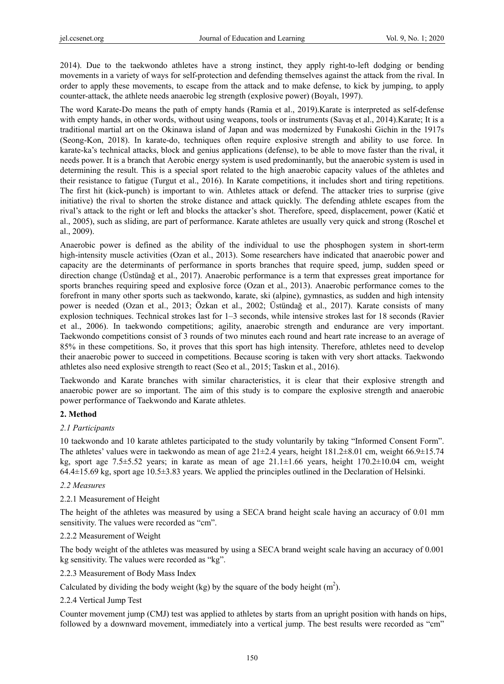2014). Due to the taekwondo athletes have a strong instinct, they apply right-to-left dodging or bending movements in a variety of ways for self-protection and defending themselves against the attack from the rival. In order to apply these movements, to escape from the attack and to make defense, to kick by jumping, to apply counter-attack, the athlete needs anaerobic leg strength (explosive power) (Boyalı, 1997).

The word Karate-Do means the path of empty hands (Ramia et al., 2019).Karate is interpreted as self-defense with empty hands, in other words, without using weapons, tools or instruments (Savaş et al., 2014).Karate; It is a traditional martial art on the Okinawa island of Japan and was modernized by Funakoshi Gichin in the 1917s (Seong-Kon, 2018). In karate-do, techniques often require explosive strength and ability to use force. In karate-ka's technical attacks, block and genius applications (defense), to be able to move faster than the rival, it needs power. It is a branch that Aerobic energy system is used predominantly, but the anaerobic system is used in determining the result. This is a special sport related to the high anaerobic capacity values of the athletes and their resistance to fatigue (Turgut et al., 2016). In Karate competitions, it includes short and tiring repetitions. The first hit (kick-punch) is important to win. Athletes attack or defend. The attacker tries to surprise (give initiative) the rival to shorten the stroke distance and attack quickly. The defending athlete escapes from the rival's attack to the right or left and blocks the attacker's shot. Therefore, speed, displacement, power (Katić et al., 2005), such as sliding, are part of performance. Karate athletes are usually very quick and strong (Roschel et al., 2009).

Anaerobic power is defined as the ability of the individual to use the phosphogen system in short-term high-intensity muscle activities (Ozan et al., 2013). Some researchers have indicated that anaerobic power and capacity are the determinants of performance in sports branches that require speed, jump, sudden speed or direction change (Üstündağ et al., 2017). Anaerobic performance is a term that expresses great importance for sports branches requiring speed and explosive force (Ozan et al., 2013). Anaerobic performance comes to the forefront in many other sports such as taekwondo, karate, ski (alpine), gymnastics, as sudden and high intensity power is needed (Ozan et al., 2013; Özkan et al., 2002; Üstündağ et al., 2017). Karate consists of many explosion techniques. Technical strokes last for 1–3 seconds, while intensive strokes last for 18 seconds (Ravier et al., 2006). In taekwondo competitions; agility, anaerobic strength and endurance are very important. Taekwondo competitions consist of 3 rounds of two minutes each round and heart rate increase to an average of 85% in these competitions. So, it proves that this sport has high intensity. Therefore, athletes need to develop their anaerobic power to succeed in competitions. Because scoring is taken with very short attacks. Taekwondo athletes also need explosive strength to react (Seo et al., 2015; Taskın et al., 2016).

Taekwondo and Karate branches with similar characteristics, it is clear that their explosive strength and anaerobic power are so important. The aim of this study is to compare the explosive strength and anaerobic power performance of Taekwondo and Karate athletes.

### **2. Method**

### *2.1 Participants*

10 taekwondo and 10 karate athletes participated to the study voluntarily by taking "Informed Consent Form". The athletes' values were in taekwondo as mean of age  $21\pm2.4$  years, height  $181.2\pm8.01$  cm, weight  $66.9\pm15.74$ kg, sport age 7.5±5.52 years; in karate as mean of age 21.1±1.66 years, height 170.2±10.04 cm, weight 64.4±15.69 kg, sport age 10.5±3.83 years. We applied the principles outlined in the Declaration of Helsinki.

### *2.2 Measures*

### 2.2.1 Measurement of Height

The height of the athletes was measured by using a SECA brand height scale having an accuracy of 0.01 mm sensitivity. The values were recorded as "cm".

### 2.2.2 Measurement of Weight

The body weight of the athletes was measured by using a SECA brand weight scale having an accuracy of 0.001 kg sensitivity. The values were recorded as "kg".

### 2.2.3 Measurement of Body Mass Index

Calculated by dividing the body weight (kg) by the square of the body height  $(m<sup>2</sup>)$ .

### 2.2.4 Vertical Jump Test

Counter movement jump (CMJ) test was applied to athletes by starts from an upright position with hands on hips, followed by a downward movement, immediately into a vertical jump. The best results were recorded as "cm"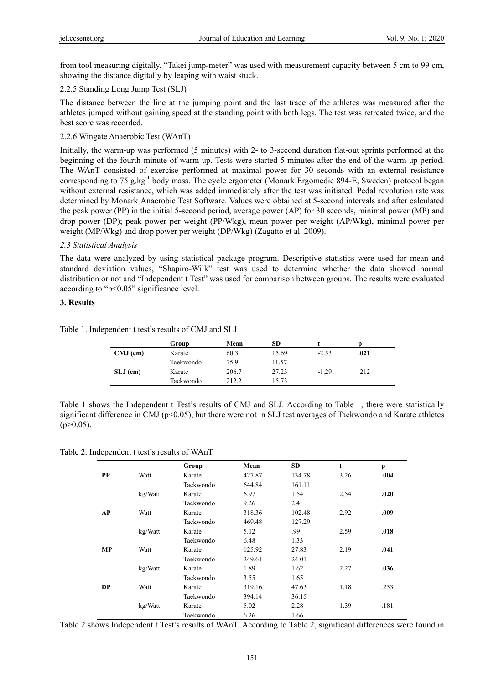from tool measuring digitally. "Takei jump-meter" was used with measurement capacity between 5 cm to 99 cm, showing the distance digitally by leaping with waist stuck.

## 2.2.5 Standing Long Jump Test (SLJ)

The distance between the line at the jumping point and the last trace of the athletes was measured after the athletes jumped without gaining speed at the standing point with both legs. The test was retreated twice, and the best score was recorded.

## 2.2.6 Wingate Anaerobic Test (WAnT)

Initially, the warm-up was performed (5 minutes) with 2- to 3-second duration flat-out sprints performed at the beginning of the fourth minute of warm-up. Tests were started 5 minutes after the end of the warm-up period. The WAnT consisted of exercise performed at maximal power for 30 seconds with an external resistance corresponding to 75 g.kg $^{-1}$  body mass. The cycle ergometer (Monark Ergomedic 894-E, Sweden) protocol began without external resistance, which was added immediately after the test was initiated. Pedal revolution rate was determined by Monark Anaerobic Test Software. Values were obtained at 5-second intervals and after calculated the peak power (PP) in the initial 5-second period, average power (AP) for 30 seconds, minimal power (MP) and drop power (DP); peak power per weight (PP/Wkg), mean power per weight (AP/Wkg), minimal power per weight (MP/Wkg) and drop power per weight (DP/Wkg) (Zagatto et al. 2009).

## *2.3 Statistical Analysis*

The data were analyzed by using statistical package program. Descriptive statistics were used for mean and standard deviation values, "Shapiro-Wilk" test was used to determine whether the data showed normal distribution or not and "Independent t Test" was used for comparison between groups. The results were evaluated according to "p<0.05" significance level.

## **3. Results**

| Table 1. Independent t test's results of CMJ and SLJ |  |
|------------------------------------------------------|--|
|------------------------------------------------------|--|

|            | Group     | Mean  | SD    |         |      |  |
|------------|-----------|-------|-------|---------|------|--|
| $CMJ$ (cm) | Karate    | 60.3  | 15.69 | $-2.53$ | .021 |  |
|            | Taekwondo | 75.9  | 11.57 |         |      |  |
| $SLJ$ (cm) | Karate    | 206.7 | 27.23 | $-1.29$ | .212 |  |
|            | Taekwondo | 212.2 | 15.73 |         |      |  |

Table 1 shows the Independent t Test's results of CMJ and SLJ. According to Table 1, there were statistically significant difference in CMJ (p<0.05), but there were not in SLJ test averages of Taekwondo and Karate athletes  $(p>0.05)$ .

Table 2. Independent t test's results of WAnT

|                   |         | Group     | Mean   | <b>SD</b> | t    | р    |
|-------------------|---------|-----------|--------|-----------|------|------|
| <b>PP</b>         | Watt    | Karate    | 427.87 | 134.78    | 3.26 | .004 |
|                   |         | Taekwondo | 644.84 | 161.11    |      |      |
|                   | kg/Watt | Karate    | 6.97   | 1.54      | 2.54 | .020 |
|                   |         | Taekwondo | 9.26   | 2.4       |      |      |
| AP<br>Watt        |         | Karate    | 318.36 | 102.48    | 2.92 | .009 |
|                   |         | Taekwondo | 469.48 | 127.29    |      |      |
|                   | kg/Watt | Karate    | 5.12   | .99       | 2.59 | .018 |
|                   |         | Taekwondo | 6.48   | 1.33      |      |      |
| <b>MP</b><br>Watt |         | Karate    | 125.92 | 27.83     | 2.19 | .041 |
|                   |         | Taekwondo | 249.61 | 24.01     |      |      |
|                   | kg/Watt | Karate    | 1.89   | 1.62      | 2.27 | .036 |
|                   |         | Taekwondo | 3.55   | 1.65      |      |      |
| <b>DP</b>         | Watt    | Karate    | 319.16 | 47.63     | 1.18 | .253 |
|                   |         | Taekwondo | 394.14 | 36.15     |      |      |
|                   | kg/Watt | Karate    | 5.02   | 2.28      | 1.39 | .181 |
|                   |         | Taekwondo | 6.26   | 1.66      |      |      |

Table 2 shows Independent t Test's results of WAnT. According to Table 2, significant differences were found in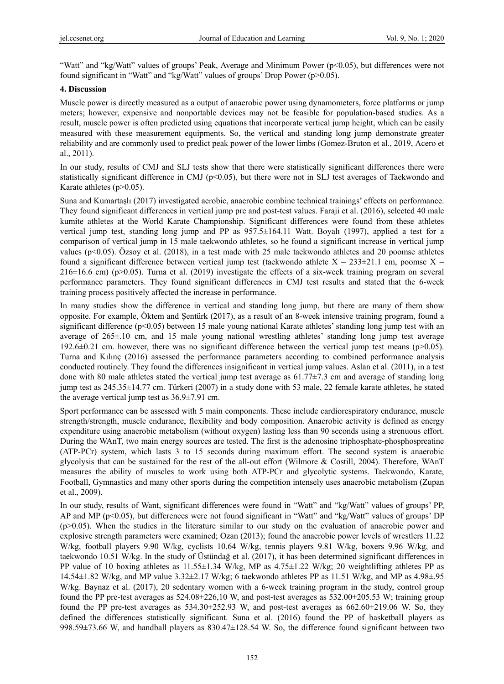"Watt" and "kg/Watt" values of groups' Peak, Average and Minimum Power (p<0.05), but differences were not found significant in "Watt" and "kg/Watt" values of groups' Drop Power (p>0.05).

## **4. Discussion**

Muscle power is directly measured as a output of anaerobic power using dynamometers, force platforms or jump meters; however, expensive and nonportable devices may not be feasible for population-based studies. As a result, muscle power is often predicted using equations that incorporate vertical jump height, which can be easily measured with these measurement equipments. So, the vertical and standing long jump demonstrate greater reliability and are commonly used to predict peak power of the lower limbs (Gomez-Bruton et al., 2019, Acero et al., 2011).

In our study, results of CMJ and SLJ tests show that there were statistically significant differences there were statistically significant difference in CMJ ( $p<0.05$ ), but there were not in SLJ test averages of Taekwondo and Karate athletes  $(p>0.05)$ .

Suna and Kumartaşlı (2017) investigated aerobic, anaerobic combine technical trainings' effects on performance. They found significant differences in vertical jump pre and post-test values. Faraji et al. (2016), selected 40 male kumite athletes at the World Karate Championship. Significant differences were found from these athletes vertical jump test, standing long jump and PP as 957.5±164.11 Watt. Boyalı (1997), applied a test for a comparison of vertical jump in 15 male taekwondo athletes, so he found a significant increase in vertical jump values ( $p<0.05$ ). Özsoy et al. (2018), in a test made with 25 male taekwondo athletes and 20 poomse athletes found a significant difference between vertical jump test (taekwondo athlete  $X = 233 \pm 21.1$  cm, poomse  $X =$ 216±16.6 cm) (p>0.05). Turna et al. (2019) investigate the effects of a six-week training program on several performance parameters. They found significant differences in CMJ test results and stated that the 6-week training process positively affected the increase in performance.

In many studies show the difference in vertical and standing long jump, but there are many of them show opposite. For example, Öktem and Şentürk (2017), as a result of an 8-week intensive training program, found a significant difference (p<0.05) between 15 male young national Karate athletes' standing long jump test with an average of 265±.10 cm, and 15 male young national wrestling athletes' standing long jump test average 192.6 $\pm$ 0.21 cm. however, there was no significant difference between the vertical jump test means (p>0.05). Turna and Kılınç (2016) assessed the performance parameters according to combined performance analysis conducted routinely. They found the differences insignificant in vertical jump values. Aslan et al. (2011), in a test done with 80 male athletes stated the vertical jump test average as  $61.77\pm7.3$  cm and average of standing long jump test as 245.35±14.77 cm. Türkeri (2007) in a study done with 53 male, 22 female karate athletes, he stated the average vertical jump test as 36.9±7.91 cm.

Sport performance can be assessed with 5 main components. These include cardiorespiratory endurance, muscle strength/strength, muscle endurance, flexibility and body composition. Anaerobic activity is defined as energy expenditure using anaerobic metabolism (without oxygen) lasting less than 90 seconds using a strenuous effort. During the WAnT, two main energy sources are tested. The first is the adenosine triphosphate-phosphospreatine (ATP-PCr) system, which lasts 3 to 15 seconds during maximum effort. The second system is anaerobic glycolysis that can be sustained for the rest of the all-out effort (Wilmore & Costill, 2004). Therefore, WAnT measures the ability of muscles to work using both ATP-PCr and glycolytic systems. Taekwondo, Karate, Football, Gymnastics and many other sports during the competition intensely uses anaerobic metabolism (Zupan et al., 2009).

In our study, results of Want, significant differences were found in "Watt" and "kg/Watt" values of groups' PP, AP and MP (p<0.05), but differences were not found significant in "Watt" and "kg/Watt" values of groups' DP (p>0.05). When the studies in the literature similar to our study on the evaluation of anaerobic power and explosive strength parameters were examined; Ozan (2013); found the anaerobic power levels of wrestlers 11.22 W/kg, football players 9.90 W/kg, cyclists 10.64 W/kg, tennis players 9.81 W/kg, boxers 9.96 W/kg, and taekwondo 10.51 W/kg. In the study of Üstündağ et al. (2017), it has been determined significant differences in PP value of 10 boxing athletes as 11.55±1.34 W/kg, MP as 4.75±1.22 W/kg; 20 weightlifting athletes PP as 14.54±1.82 W/kg, and MP value 3.32±2.17 W/kg; 6 taekwondo athletes PP as 11.51 W/kg, and MP as 4.98±.95 W/kg. Baynaz et al. (2017), 20 sedentary women with a 6-week training program in the study, control group found the PP pre-test averages as 524.08±226,10 W, and post-test averages as 532.00±205.53 W; training group found the PP pre-test averages as  $534.30\pm252.93$  W, and post-test averages as  $662.60\pm219.06$  W. So, they defined the differences statistically significant. Suna et al. (2016) found the PP of basketball players as 998.59±73.66 W, and handball players as 830.47±128.54 W. So, the difference found significant between two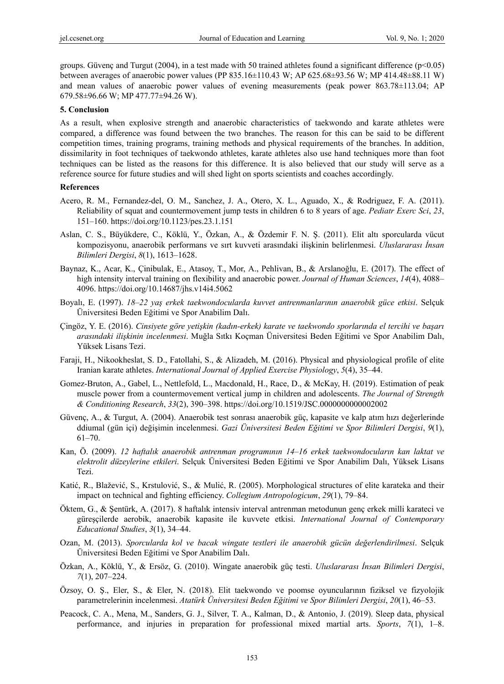groups. Güvenç and Turgut (2004), in a test made with 50 trained athletes found a significant difference ( $p<0.05$ ) between averages of anaerobic power values (PP 835.16±110.43 W; AP 625.68±93.56 W; MP 414.48±88.11 W) and mean values of anaerobic power values of evening measurements (peak power 863.78±113.04; AP 679.58±96.66 W; MP 477.77±94.26 W).

#### **5. Conclusion**

As a result, when explosive strength and anaerobic characteristics of taekwondo and karate athletes were compared, a difference was found between the two branches. The reason for this can be said to be different competition times, training programs, training methods and physical requirements of the branches. In addition, dissimilarity in foot techniques of taekwondo athletes, karate athletes also use hand techniques more than foot techniques can be listed as the reasons for this difference. It is also believed that our study will serve as a reference source for future studies and will shed light on sports scientists and coaches accordingly.

#### **References**

- Acero, R. M., Fernandez-del, O. M., Sanchez, J. A., Otero, X. L., Aguado, X., & Rodriguez, F. A. (2011). Reliability of squat and countermovement jump tests in children 6 to 8 years of age. *Pediatr Exerc Sci*, *23*, 151–160. https://doi.org/10.1123/pes.23.1.151
- Aslan, C. S., Büyükdere, C., Köklü, Y., Özkan, A., & Özdemir F. N. Ş. (2011). Elit altı sporcularda vücut kompozisyonu, anaerobik performans ve sırt kuvveti arasındaki ilişkinin belirlenmesi. *Uluslararası İnsan Bilimleri Dergisi*, *8*(1), 1613–1628.
- Baynaz, K., Acar, K., Çinibulak, E., Atasoy, T., Mor, A., Pehlivan, B., & Arslanoğlu, E. (2017). The effect of high intensity interval training on flexibility and anaerobic power. *Journal of Human Sciences*, *14*(4), 4088– 4096. https://doi.org/10.14687/jhs.v14i4.5062
- Boyalı, E. (1997). *18–22 yaş erkek taekwondocularda kuvvet antrenmanlarının anaerobik güce etkisi*. Selçuk Üniversitesi Beden Eğitimi ve Spor Anabilim Dalı.
- Çingöz, Y. E. (2016). *Cinsiyete göre yetişkin (kadın-erkek) karate ve taekwondo sporlarında el tercihi ve başarı arasındaki ilişkinin incelenmesi*. Muğla Sıtkı Koçman Üniversitesi Beden Eğitimi ve Spor Anabilim Dalı, Yüksek Lisans Tezi.
- Faraji, H., Nikookheslat, S. D., Fatollahi, S., & Alizadeh, M. (2016). Physical and physiological profile of elite Iranian karate athletes. *International Journal of Applied Exercise Physiology*, *5*(4), 35–44.
- Gomez-Bruton, A., Gabel, L., Nettlefold, L., Macdonald, H., Race, D., & McKay, H. (2019). Estimation of peak muscle power from a countermovement vertical jump in children and adolescents. *The Journal of Strength & Conditioning Research*, *33*(2), 390–398. https://doi.org/10.1519/JSC.0000000000002002
- Güvenç, A., & Turgut, A. (2004). Anaerobik test sonrası anaerobik güç, kapasite ve kalp atım hızı değerlerinde ddiumal (gün içi) değişimin incelenmesi. *Gazi Üniversitesi Beden Eğitimi ve Spor Bilimleri Dergisi*, *9*(1), 61–70.
- Kan, Ö. (2009). *12 haftalık anaerobik antrenman programının 14–16 erkek taekwondocuların kan laktat ve elektrolit düzeylerine etkileri*. Selçuk Üniversitesi Beden Eğitimi ve Spor Anabilim Dalı, Yüksek Lisans Tezi.
- Katić, R., Blažević, S., Krstulović, S., & Mulić, R. (2005). Morphological structures of elite karateka and their impact on technical and fighting efficiency. *Collegium Antropologicum*, *29*(1), 79–84.
- Öktem, G., & Şentürk, A. (2017). 8 haftalık intensiv interval antrenman metodunun genç erkek milli karateci ve güreşçilerde aerobik, anaerobik kapasite ile kuvvete etkisi. *International Journal of Contemporary Educational Studies*, *3*(1), 34–44.
- Ozan, M. (2013). *Sporcularda kol ve bacak wingate testleri ile anaerobik gücün değerlendirilmesi*. Selçuk Üniversitesi Beden Eğitimi ve Spor Anabilim Dalı.
- Özkan, A., Köklü, Y., & Ersöz, G. (2010). Wingate anaerobik güç testi. *Uluslararası İnsan Bilimleri Dergisi*, *7*(1), 207–224.
- Özsoy, O. Ş., Eler, S., & Eler, N. (2018). Elit taekwondo ve poomse oyuncularının fiziksel ve fizyolojik parametrelerinin incelenmesi. *Atatürk Üniversitesi Beden Eğitimi ve Spor Bilimleri Dergisi*, *20*(1), 46–53.
- Peacock, C. A., Mena, M., Sanders, G. J., Silver, T. A., Kalman, D., & Antonio, J. (2019). Sleep data, physical performance, and injuries in preparation for professional mixed martial arts. *Sports*, *7*(1), 1–8.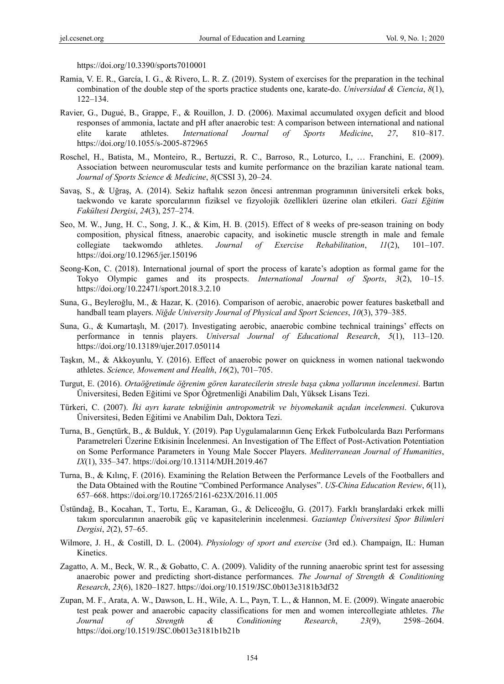https://doi.org/10.3390/sports7010001

- Ramia, V. E. R., García, I. G., & Rivero, L. R. Z. (2019). System of exercises for the preparation in the techinal combination of the double step of the sports practice students one, karate-do. *Universidad & Ciencia*, *8*(1), 122–134.
- Ravier, G., Dugué, B., Grappe, F., & Rouillon, J. D. (2006). Maximal accumulated oxygen deficit and blood responses of ammonia, lactate and pH after anaerobic test: A comparison between international and national elite karate athletes. *International Journal of Sports Medicine*, *27*, 810–817. https://doi.org/10.1055/s-2005-872965
- Roschel, H., Batista, M., Monteiro, R., Bertuzzi, R. C., Barroso, R., Loturco, I., … Franchini, E. (2009). Association between neuromuscular tests and kumite performance on the brazilian karate national team. *Journal of Sports Science & Medicine*, *8*(CSSI 3), 20–24.
- Savaş, S., & Uğraş, A. (2014). Sekiz haftalık sezon öncesi antrenman programının üniversiteli erkek boks, taekwondo ve karate sporcularının fiziksel ve fizyolojik özellikleri üzerine olan etkileri. *Gazi Eğitim Fakültesi Dergisi*, *24*(3), 257–274.
- Seo, M. W., Jung, H. C., Song, J. K., & Kim, H. B. (2015). Effect of 8 weeks of pre-season training on body composition, physical fitness, anaerobic capacity, and isokinetic muscle strength in male and female collegiate taekwomdo athletes. *Journal of Exercise Rehabilitation*, *11*(2), 101–107. https://doi.org/10.12965/jer.150196
- Seong-Kon, C. (2018). International journal of sport the process of karate's adoption as formal game for the Tokyo Olympic games and its prospects. *International Journal of Sports*, *3*(2), 10–15. https://doi.org/10.22471/sport.2018.3.2.10
- Suna, G., Beyleroğlu, M., & Hazar, K. (2016). Comparison of aerobic, anaerobic power features basketball and handball team players. *Niğde University Journal of Physical and Sport Sciences*, *10*(3), 379–385.
- Suna, G., & Kumartaşlı, M. (2017). Investigating aerobic, anaerobic combine technical trainings' effects on performance in tennis players. *Universal Journal of Educational Research*, *5*(1), 113–120. https://doi.org/10.13189/ujer.2017.050114
- Taşkın, M., & Akkoyunlu, Y. (2016). Effect of anaerobic power on quickness in women national taekwondo athletes. *Science, Mowement and Health*, *16*(2), 701–705.
- Turgut, E. (2016). *Ortaöğretimde öğrenim gören karatecilerin stresle başa çıkma yollarının incelenmesi*. Bartın Üniversitesi, Beden Eğitimi ve Spor Öğretmenliği Anabilim Dalı, Yüksek Lisans Tezi.
- Türkeri, C. (2007). *İki ayrı karate tekniğinin antropometrik ve biyomekanik açıdan incelenmesi*. Çukurova Üniversitesi, Beden Eğitimi ve Anabilim Dalı, Doktora Tezi.
- Turna, B., Gençtürk, B., & Bulduk, Y. (2019). Pap Uygulamalarının Genç Erkek Futbolcularda Bazı Performans Parametreleri Üzerine Etkisinin İncelenmesi. An Investigation of The Effect of Post-Activation Potentiation on Some Performance Parameters in Young Male Soccer Players. *Mediterranean Journal of Humanities*, *IX*(1), 335–347. https://doi.org/10.13114/MJH.2019.467
- Turna, B., & Kılınç, F. (2016). Examining the Relation Between the Performance Levels of the Footballers and the Data Obtained with the Routine "Combined Performance Analyses". *US-China Education Review*, *6*(11), 657–668. https://doi.org/10.17265/2161-623X/2016.11.005
- Üstündağ, B., Kocahan, T., Tortu, E., Karaman, G., & Deliceoğlu, G. (2017). Farklı branşlardaki erkek milli takım sporcularının anaerobik güç ve kapasitelerinin incelenmesi. *Gaziantep Üniversitesi Spor Bilimleri Dergisi*, *2*(2), 57–65.
- Wilmore, J. H., & Costill, D. L. (2004). *Physiology of sport and exercise* (3rd ed.). Champaign, IL: Human Kinetics.
- Zagatto, A. M., Beck, W. R., & Gobatto, C. A. (2009). Validity of the running anaerobic sprint test for assessing anaerobic power and predicting short-distance performances. *The Journal of Strength & Conditioning Research*, *23*(6), 1820–1827. https://doi.org/10.1519/JSC.0b013e3181b3df32
- Zupan, M. F., Arata, A. W., Dawson, L. H., Wile, A. L., Payn, T. L., & Hannon, M. E. (2009). Wingate anaerobic test peak power and anaerobic capacity classifications for men and women intercollegiate athletes. *The Journal of Strength & Conditioning Research*, *23*(9), 2598–2604. https://doi.org/10.1519/JSC.0b013e3181b1b21b